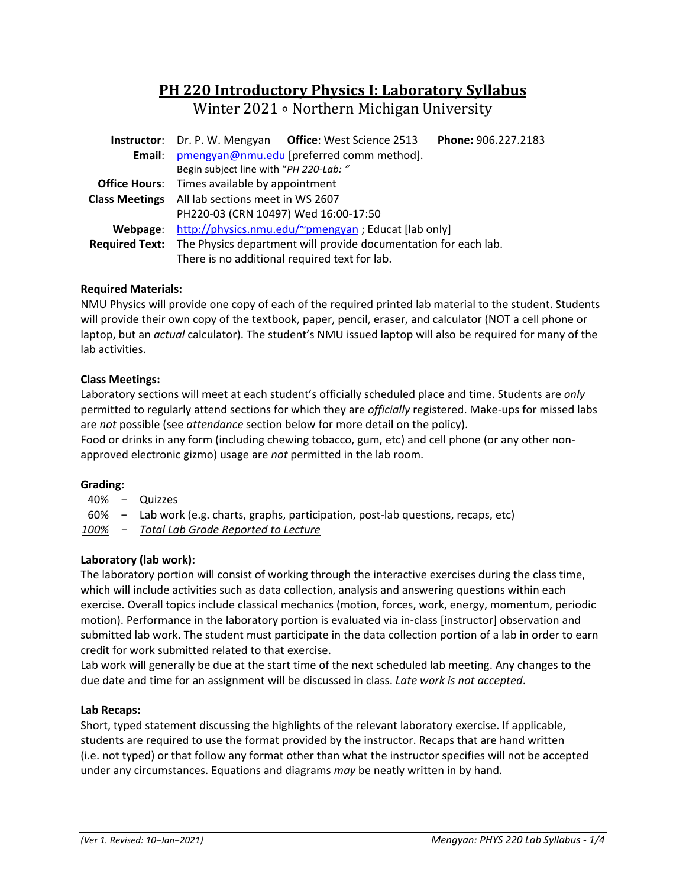# **PH 220 Introductory Physics I: Laboratory Syllabus**

Winter 2021 ∘ Northern Michigan University

|                       | Phone: 906.227.2183<br><b>Instructor:</b> Dr. P. W. Mengyan Office: West Science 2513 |  |  |  |  |  |  |
|-----------------------|---------------------------------------------------------------------------------------|--|--|--|--|--|--|
| Email:                | pmengyan@nmu.edu [preferred comm method].                                             |  |  |  |  |  |  |
|                       | Begin subject line with "PH 220-Lab: "                                                |  |  |  |  |  |  |
|                       | <b>Office Hours:</b> Times available by appointment                                   |  |  |  |  |  |  |
| <b>Class Meetings</b> | All lab sections meet in WS 2607                                                      |  |  |  |  |  |  |
|                       | PH220-03 (CRN 10497) Wed 16:00-17:50                                                  |  |  |  |  |  |  |
| Webpage:              | http://physics.nmu.edu/~pmengyan ; Educat [lab only]                                  |  |  |  |  |  |  |
|                       | Required Text: The Physics department will provide documentation for each lab.        |  |  |  |  |  |  |
|                       | There is no additional required text for lab.                                         |  |  |  |  |  |  |

# **Required Materials:**

NMU Physics will provide one copy of each of the required printed lab material to the student. Students will provide their own copy of the textbook, paper, pencil, eraser, and calculator (NOT a cell phone or laptop, but an *actual* calculator). The student's NMU issued laptop will also be required for many of the lab activities.

## **Class Meetings:**

Laboratory sections will meet at each student's officially scheduled place and time. Students are *only* permitted to regularly attend sections for which they are *officially* registered. Make-ups for missed labs are *not* possible (see *attendance* section below for more detail on the policy).

Food or drinks in any form (including chewing tobacco, gum, etc) and cell phone (or any other non‐ approved electronic gizmo) usage are *not* permitted in the lab room.

#### **Grading:**

- 40% − Quizzes
- 60% − Lab work (e.g. charts, graphs, participation, post‐lab questions, recaps, etc)

*100% − Total Lab Grade Reported to Lecture* 

# **Laboratory (lab work):**

The laboratory portion will consist of working through the interactive exercises during the class time, which will include activities such as data collection, analysis and answering questions within each exercise. Overall topics include classical mechanics (motion, forces, work, energy, momentum, periodic motion). Performance in the laboratory portion is evaluated via in‐class [instructor] observation and submitted lab work. The student must participate in the data collection portion of a lab in order to earn credit for work submitted related to that exercise.

Lab work will generally be due at the start time of the next scheduled lab meeting. Any changes to the due date and time for an assignment will be discussed in class. *Late work is not accepted*.

#### **Lab Recaps:**

Short, typed statement discussing the highlights of the relevant laboratory exercise. If applicable, students are required to use the format provided by the instructor. Recaps that are hand written (i.e. not typed) or that follow any format other than what the instructor specifies will not be accepted under any circumstances. Equations and diagrams *may* be neatly written in by hand.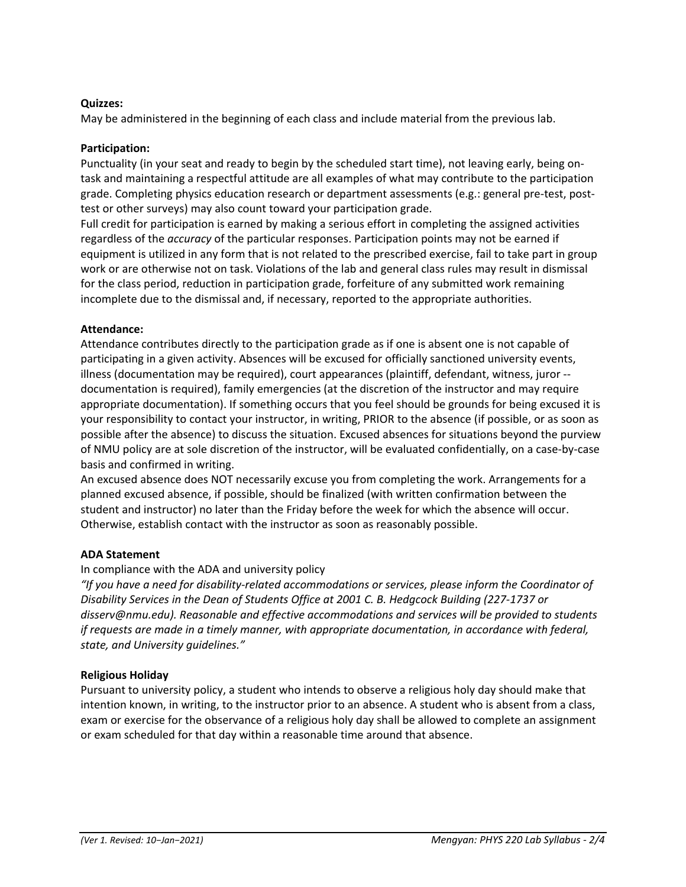## **Quizzes:**

May be administered in the beginning of each class and include material from the previous lab.

#### **Participation:**

Punctuality (in your seat and ready to begin by the scheduled start time), not leaving early, being on‐ task and maintaining a respectful attitude are all examples of what may contribute to the participation grade. Completing physics education research or department assessments (e.g.: general pre-test, posttest or other surveys) may also count toward your participation grade.

Full credit for participation is earned by making a serious effort in completing the assigned activities regardless of the *accuracy* of the particular responses. Participation points may not be earned if equipment is utilized in any form that is not related to the prescribed exercise, fail to take part in group work or are otherwise not on task. Violations of the lab and general class rules may result in dismissal for the class period, reduction in participation grade, forfeiture of any submitted work remaining incomplete due to the dismissal and, if necessary, reported to the appropriate authorities.

## **Attendance:**

Attendance contributes directly to the participation grade as if one is absent one is not capable of participating in a given activity. Absences will be excused for officially sanctioned university events, illness (documentation may be required), court appearances (plaintiff, defendant, witness, juror ‐‐ documentation is required), family emergencies (at the discretion of the instructor and may require appropriate documentation). If something occurs that you feel should be grounds for being excused it is your responsibility to contact your instructor, in writing, PRIOR to the absence (if possible, or as soon as possible after the absence) to discuss the situation. Excused absences for situations beyond the purview of NMU policy are at sole discretion of the instructor, will be evaluated confidentially, on a case‐by‐case basis and confirmed in writing.

An excused absence does NOT necessarily excuse you from completing the work. Arrangements for a planned excused absence, if possible, should be finalized (with written confirmation between the student and instructor) no later than the Friday before the week for which the absence will occur. Otherwise, establish contact with the instructor as soon as reasonably possible.

# **ADA Statement**

#### In compliance with the ADA and university policy

*"If you have a need for disability‐related accommodations or services, please inform the Coordinator of Disability Services in the Dean of Students Office at 2001 C. B. Hedgcock Building (227‐1737 or disserv@nmu.edu). Reasonable and effective accommodations and services will be provided to students if requests are made in a timely manner, with appropriate documentation, in accordance with federal, state, and University guidelines."* 

# **Religious Holiday**

Pursuant to university policy, a student who intends to observe a religious holy day should make that intention known, in writing, to the instructor prior to an absence. A student who is absent from a class, exam or exercise for the observance of a religious holy day shall be allowed to complete an assignment or exam scheduled for that day within a reasonable time around that absence.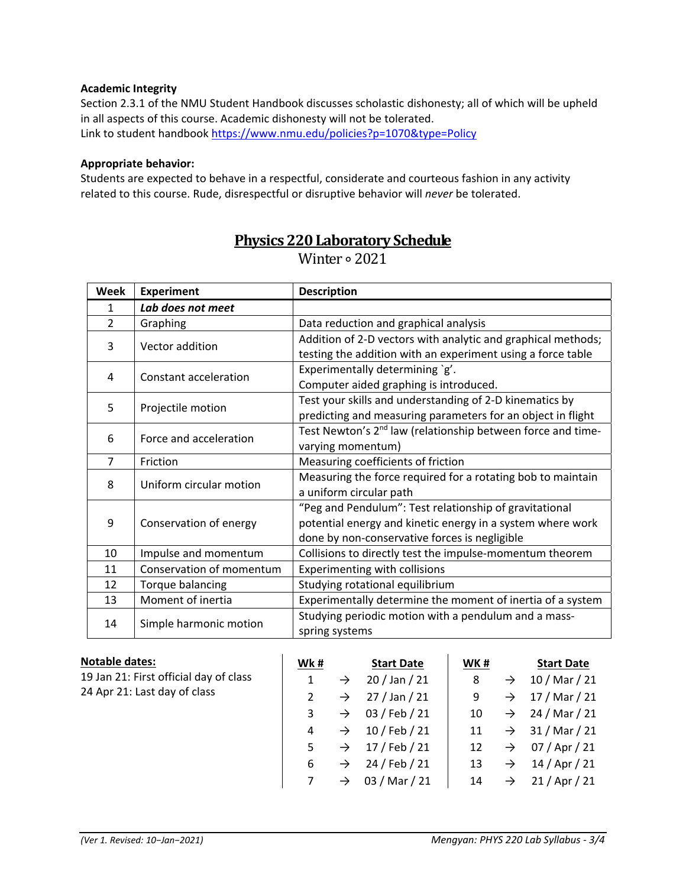#### **Academic Integrity**

Section 2.3.1 of the NMU Student Handbook discusses scholastic dishonesty; all of which will be upheld in all aspects of this course. Academic dishonesty will not be tolerated. Link to student handbook https://www.nmu.edu/policies?p=1070&type=Policy

#### **Appropriate behavior:**

Students are expected to behave in a respectful, considerate and courteous fashion in any activity related to this course. Rude, disrespectful or disruptive behavior will *never* be tolerated.

| <b>Week</b>    | <b>Experiment</b>        | <b>Description</b>                                                      |  |  |  |  |
|----------------|--------------------------|-------------------------------------------------------------------------|--|--|--|--|
| 1              | Lab does not meet        |                                                                         |  |  |  |  |
| $\overline{2}$ | Graphing                 | Data reduction and graphical analysis                                   |  |  |  |  |
| 3              | Vector addition          | Addition of 2-D vectors with analytic and graphical methods;            |  |  |  |  |
|                |                          | testing the addition with an experiment using a force table             |  |  |  |  |
| 4              | Constant acceleration    | Experimentally determining `g'.                                         |  |  |  |  |
|                |                          | Computer aided graphing is introduced.                                  |  |  |  |  |
| 5              | Projectile motion        | Test your skills and understanding of 2-D kinematics by                 |  |  |  |  |
|                |                          | predicting and measuring parameters for an object in flight             |  |  |  |  |
| 6              | Force and acceleration   | Test Newton's 2 <sup>nd</sup> law (relationship between force and time- |  |  |  |  |
|                |                          | varying momentum)                                                       |  |  |  |  |
| $\overline{7}$ | Friction                 | Measuring coefficients of friction                                      |  |  |  |  |
| 8              | Uniform circular motion  | Measuring the force required for a rotating bob to maintain             |  |  |  |  |
|                |                          | a uniform circular path                                                 |  |  |  |  |
| 9              | Conservation of energy   | "Peg and Pendulum": Test relationship of gravitational                  |  |  |  |  |
|                |                          | potential energy and kinetic energy in a system where work              |  |  |  |  |
|                |                          | done by non-conservative forces is negligible                           |  |  |  |  |
| 10             | Impulse and momentum     | Collisions to directly test the impulse-momentum theorem                |  |  |  |  |
| 11             | Conservation of momentum | Experimenting with collisions                                           |  |  |  |  |
| 12             | Torque balancing         | Studying rotational equilibrium                                         |  |  |  |  |
| 13             | Moment of inertia        | Experimentally determine the moment of inertia of a system              |  |  |  |  |
| 14             | Simple harmonic motion   | Studying periodic motion with a pendulum and a mass-<br>spring systems  |  |  |  |  |

# **Physics 220 Laboratory Schedule**

Winter ∘ 2021

| <b>Notable dates:</b>                  | Wk# |               | <b>Start Date</b> | WK# |               | <b>Start Date</b> |
|----------------------------------------|-----|---------------|-------------------|-----|---------------|-------------------|
| 19 Jan 21: First official day of class |     | $\rightarrow$ | $20/$ Jan $/ 21$  | 8   | $\rightarrow$ | 10 / Mar / 21     |
| 24 Apr 21: Last day of class           |     | $\rightarrow$ | $27/$ Jan $/ 21$  | 9   | $\rightarrow$ | 17 / Mar / 21     |
|                                        | 3   | $\rightarrow$ | 03 / Feb / 21     | 10  | $\rightarrow$ | 24 / Mar / 21     |
|                                        | 4   | $\rightarrow$ | 10 / Feb / 21     | 11  | $\rightarrow$ | 31 / Mar / 21     |
|                                        | 5   | $\rightarrow$ | 17 / Feb / 21     | 12  | $\rightarrow$ | 07 / Apr / 21     |
|                                        | 6   | $\rightarrow$ | 24 / Feb / 21     | 13  | $\rightarrow$ | $14 /$ Apr $/ 21$ |
|                                        |     | $\rightarrow$ | 03 / Mar / 21     | 14  | $\rightarrow$ | $21/$ Apr $/$ 21  |